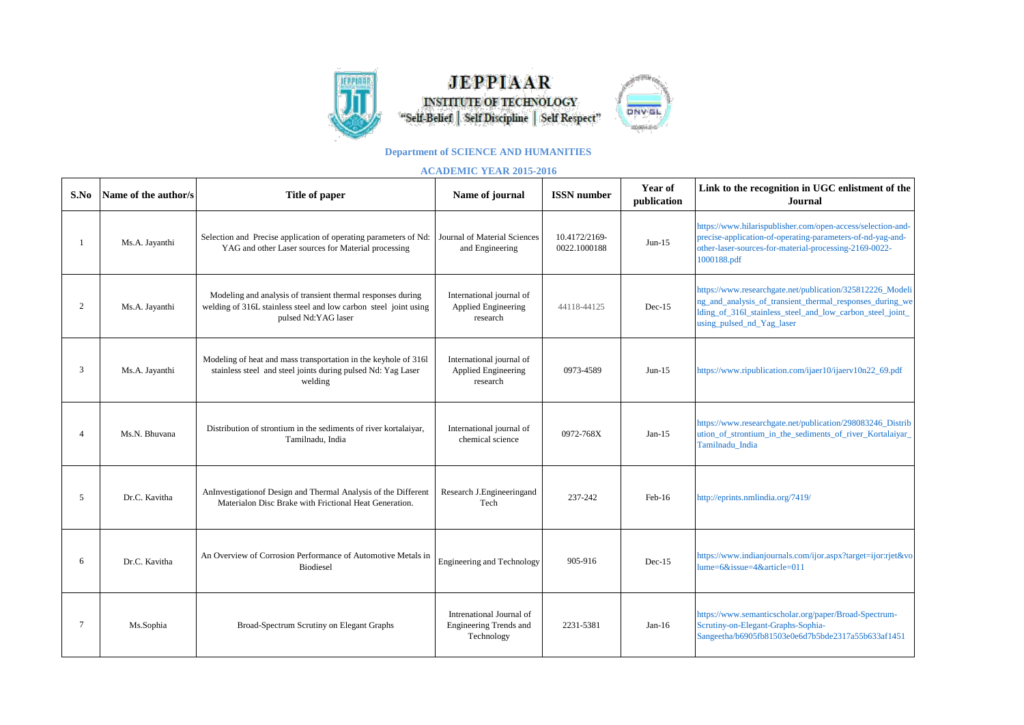

**JEPPIAAR INSTITUTE OF TECHNOLOGY** "Self-Belief | Self Discipline | Self Respect"



## **Department of SCIENCE AND HUMANITIES**

## **ACADEMIC YEAR 2015-2016**

| S.No           | Name of the author/s | Title of paper                                                                                                                                         | Name of journal                                                  | <b>ISSN</b> number            | Year of<br>publication | Link to the recognition in UGC enlistment of the<br><b>Journal</b>                                                                                                                                              |
|----------------|----------------------|--------------------------------------------------------------------------------------------------------------------------------------------------------|------------------------------------------------------------------|-------------------------------|------------------------|-----------------------------------------------------------------------------------------------------------------------------------------------------------------------------------------------------------------|
|                | Ms.A. Jayanthi       | Selection and Precise application of operating parameters of Nd:<br>YAG and other Laser sources for Material processing                                | Journal of Material Sciences<br>and Engineering                  | 10.4172/2169-<br>0022.1000188 | $Jun-15$               | https://www.hilarispublisher.com/open-access/selection-and-<br>precise-application-of-operating-parameters-of-nd-yag-and-<br>other-laser-sources-for-material-processing-2169-0022-<br>1000188.pdf              |
| 2              | Ms.A. Jayanthi       | Modeling and analysis of transient thermal responses during<br>welding of 316L stainless steel and low carbon steel joint using<br>pulsed Nd:YAG laser | International journal of<br>Applied Engineering<br>research      | 44118-44125                   | $Dec-15$               | https://www.researchgate.net/publication/325812226_Modeli<br>ng_and_analysis_of_transient_thermal_responses_during_we<br>lding_of_316l_stainless_steel_and_low_carbon_steel_joint_<br>using_pulsed_nd_Yag_laser |
| 3              | Ms.A. Jayanthi       | Modeling of heat and mass transportation in the keyhole of 316l<br>stainless steel and steel joints during pulsed Nd: Yag Laser<br>welding             | International journal of<br>Applied Engineering<br>research      | 0973-4589                     | $Jun-15$               | https://www.ripublication.com/ijaer10/ijaerv10n22_69.pdf                                                                                                                                                        |
| $\overline{4}$ | Ms.N. Bhuvana        | Distribution of strontium in the sediments of river kortalaiyar,<br>Tamilnadu, India                                                                   | International journal of<br>chemical science                     | 0972-768X                     | $Jan-15$               | https://www.researchgate.net/publication/298083246_Distrib<br>ution_of_strontium_in_the_sediments_of_river_Kortalaiyar_<br>Tamilnadu_India                                                                      |
| 5              | Dr.C. Kavitha        | AnInvestigation of Design and Thermal Analysis of the Different<br>Materialon Disc Brake with Frictional Heat Generation.                              | Research J.Engineeringand<br>Tech                                | 237-242                       | $Feb-16$               | http://eprints.nmlindia.org/7419/                                                                                                                                                                               |
| 6              | Dr.C. Kavitha        | An Overview of Corrosion Performance of Automotive Metals in<br><b>Biodiesel</b>                                                                       | Engineering and Technology                                       | 905-916                       | $Dec-15$               | https://www.indianjournals.com/ijor.aspx?target=ijor:rjet&vo<br>$lume=6&$ issue=4&article=011                                                                                                                   |
| 7              | Ms.Sophia            | Broad-Spectrum Scrutiny on Elegant Graphs                                                                                                              | Intrenational Journal of<br>Engineering Trends and<br>Technology | 2231-5381                     | $Jan-16$               | https://www.semanticscholar.org/paper/Broad-Spectrum-<br>Scrutiny-on-Elegant-Graphs-Sophia-<br>Sangeetha/b6905fb81503e0e6d7b5bde2317a55b633af1451                                                               |